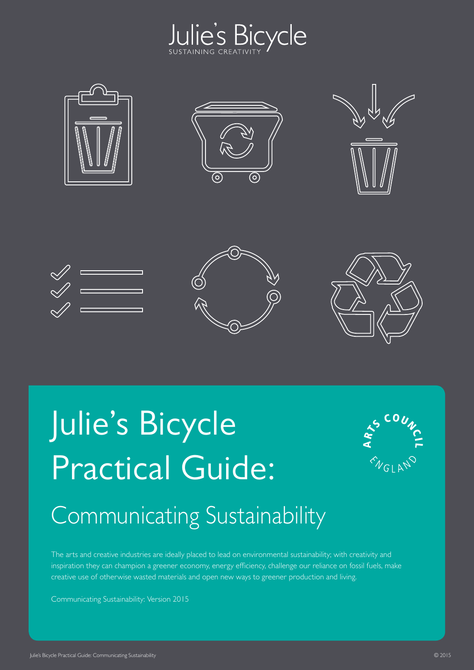













# Julie's Bicycle Practical Guide:



## Communicating Sustainability

The arts and creative industries are ideally placed to lead on environmental sustainability; with creativity and inspiration they can champion a greener economy, energy efficiency, challenge our reliance on fossil fuels, make creative use of otherwise wasted materials and open new ways to greener production and living.

Communicating Sustainability: Version 2015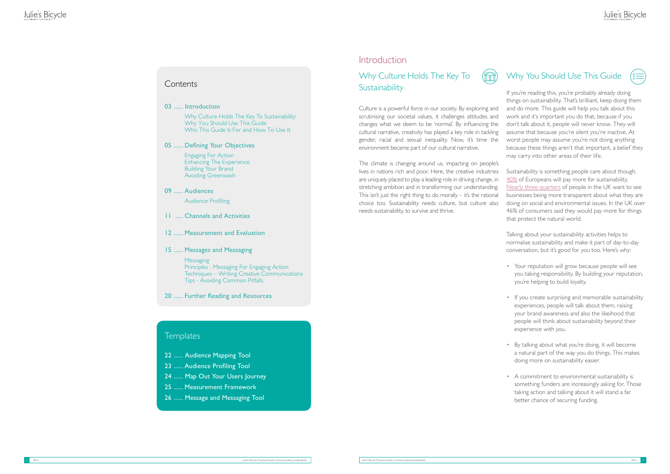#### **Contents**

### Why Culture Holds The Key To **Sustainability**



Culture is a powerful force in our society. By exploring and scrutinising our societal values, it challenges attitudes and changes what we deem to be 'normal'. By influencing the cultural narrative, creativity has played a key role in tackling gender, racial and sexual inequality. Now, it's time the environment became part of our cultural narrative. If you're reading this, you're probably already doing things on sustainability. That's brilliant, keep doing them and do m ore. T his guide will help you talk about this work and it's important you do that, because if you don't t alk about it, people will never know. They will assume that because you're silent you're inactive. At worst people may assume you're not doing anything because these things aren't that important, a belief they may carry into other areas of their life.

The climate is changing around us, impacting on people's lives in nations rich and poor. Here, the creative industries are uniquely placed to play a leading role in driving change, in stretching ambition and in transforming our understanding. This isn't just the right thing to do morally  $-$  it's the rational choice too. Sustainability needs culture, but culture also needs sustainability, to survive and thrive.

### Why You Should Use This Guide



Why C ult ure H olds The Key To Sustainability Why You Should Use This Guide Who This Guide Is For and How To Use It

**Messaging** Principles - Messaging For Engaging Action Techniques – Writing Creative Communications Tips - Avoiding Common Pitfalls

Sustainability is something people care about though. [40%](http://www.nielsen.com/us/en/press-room/2014/global-consumers-are-willing-to-put-their-money-where-their-heart-is.html) of Europeans will pay more for sustainability. [Nearly three quarters](http://www.globaltolerance.com/wp-content/uploads/2015/01/GT-Values-Revolution-Report.pdf) of people in the UK want to see businesses being more transparent about what they are doing on social and environmental issues. In the UK over 46% of consumers said they would pay more for things that protect the natural world.

- 22 ...... Audience Mapping Tool
- 23 ...... Audience Profiling Tool
- 24 ...... Map Out Your Users Journey
- 25 ...... Measurement Framework
- 26 ...... Message and Messaging Tool

#### **Introduction**

Talking about your sustainability activities helps to normalise sustainability and make it part of day-to-day conversation, but it's good for you too. Here's why:

- Your reputation will grow because people will see you taking responsibility. By building your reputation, you're helping to build loyalty.
- If you create surprising and memorable sustainability experiences, people will talk about them, raising your brand awareness and also the likeihood that people will think about sustainability beyond their experience with you.
- By talking about what you're doing, it will become a natural part of the way you do things. This makes doing more on sustainability easier.
- A commitment to environmental sustainability is something funders are increasingly asking for. Those taking action and talking about it will stand a far better chance of securing funding.

03 ...... Introduction

05 ...... Defining Your Objectives

 Engaging For Action Enhancing The Experience Building Your Brand Avoiding Greenwash

#### 09 ...... Audiences

Audience Profiling

- 11 ..... Channels and Activities
- 12 ...... Measurement and Evaluation
- 15 ...... Messages and Messaging

20 ...... Further Reading and Resources

#### **Templates**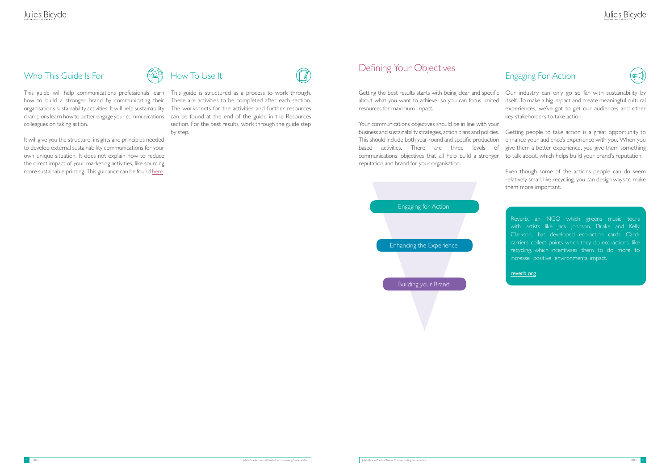#### Who This Guide Is For

how to build a stronger brand by communicating their organisation's sustainability activities. It will help sustainability champions learn how to better engage your communications colleagues on taking action.

It will give you the structure, insights and principles needed to develop external sustainability communications for your own unique situation. It does not explain how to reduce the direct impact of your marketing activities, like sourcing more sustainable printing. This guidance can be found [here](http://www.juliesbicycle.com/resources?type=21§or=&impact=&topic=46).

This guide will help communications professionals learn This guide is structured as a process to work through. There are activities to be completed after each section. The worksheets for the activities and further resources can be found at the end of the guide in the Resources section. For the best results, work through the guide step by step.



### Defining Your Objectives

Getting the best results starts with being clear and specific about what you want to achieve, so you can focus limited resources for maximum impact. Our industry can only go so far with sustainability by itself. To make a big impact and create meaningful cultural experiences, we've got to get our audiences and other key stakeholders to take action.

### Engaging For Action



Your communications objectives should be in line with your business and sustainability strategies, action plans and policies. This should include both year-round and specific production based activities. There are three levels of communications objectives that all help build a stronger reputation and brand for your organisation. Getting people to take action is a great opportunity to enhance your audience's experience with you. When you give them a better experience, you give them something to talk about, which helps build your brand's reputation.

> Even though some of the actions people can do seem relatively small, like recycling, you can design ways to make them more important.



Reverb, an NGO which greens music tours with artists like Jack Johnson, Drake and Kelly Clarkson, has developed eco-action cards. Cardcarriers collect points when they do eco-actions, like recycling, which incentivises them to do more to increase positive environmental impact.

#### <reverb.org>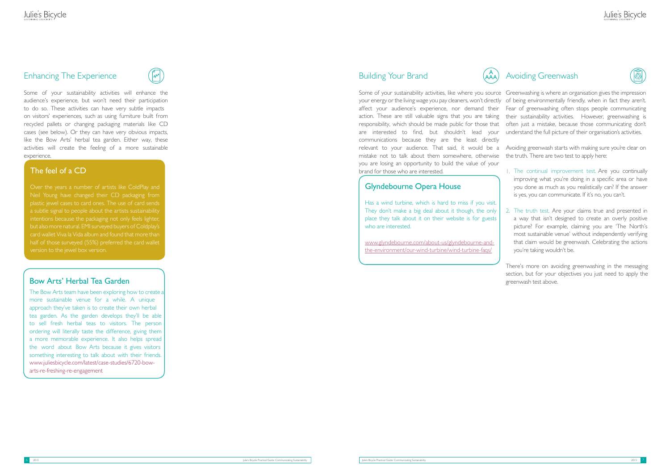#### Enhancing The Experience



Some of your sustainability activities will enhance the audience's experience, but won't need their participation to do so. These activities can have very subtle impacts on visitors' experiences, such as using furniture built from recycled pallets or changing packaging materials like CD cases (see below). Or they can have very obvious impacts, like the Bow Arts' herbal tea garden. Either way, these activities will create the feeling of a more sustainable experience.

#### Building Your Brand

Some of your sustainability activities, like where you source Greenwashing is where an organisation gives the impression your energy or the living wage you pay cleaners, won't directly of being environmentally friendly, when in fact they aren't. affect your audience's experience, nor demand their Fear of greenwashing often stops people communicating action. These are still valuable signs that you are taking responsibility, which should be made public for those that often just a mistake, because those communicating don't are interested to find, but shouldn't lead your communications because they are the least directly relevant to your audience. That said, it would be a mistake not to talk about them somewhere, otherwise you are losing an opportunity to build the value of your brand for those who are interested. their sustainability activities. However, greenwashing is understand the full picture of their organisation's activities. Avoiding greenwash starts with making sure you're clear on the truth. There are two test to apply here: 1. The continual improvement test. Are you continually

Has a wind turbine, which is hard to miss if you visit. They don't make a big deal about it though, the only place they talk about it on their website is for guests who are interested.

- improving what you're doing in a specific area or have you done as much as you realistically can? If the answer is yes, you can communicate. If it's no, you can't.
- 2. The truth test. Are your claims true and presented in a way that isn't designed to create an overly positive picture? For example, claiming you are 'The North's most sustainable venue' without independently verifying that claim would be greenwash. Celebrating the actions you're taking wouldn't be.

There's more on avoiding greenwashing in the messaging section, but for your objectives you just need to apply the

The Bow Arts team have been exploring how to create a more sustainable venue for a while. A unique approach they've taken is to create their own herbal tea garden. As the garden develops they'll be able to sell fresh herbal teas to visitors. The person ordering will literally taste the difference, giving them a more memorable experience. It also helps spread the word about Bow Arts because it gives visitors something interesting to talk about with their friends. [www.juliesbicycle.com/latest/case-studies/6720-bow](http://www.juliesbicycle.com/latest/case-studies/6720-bow-arts-re-freshing-re-engagement)arts-re-freshing-re-engagement

#### The feel of a CD

Over the years a number of artists like ColdPlay and Neil Young have changed their CD packaging from plastic jewel cases to card ones. The use of card sends intentions because the packaging not only feels lighter, but also more natural. EMI surveyed buyers of Coldplay's card wallet Viva la Vida album and found that more than version to the jewel box version.

#### **Bow Arts' Herbal Tea Garden Exercise 2018 Bow Arts' Herbal Tea Garden** greenwash test above.

#### Glyndebourne Opera House

[www.glyndebourne.com/about-us/glyndebourne-and](www.glyndebourne.com/about-us/glyndebourne-and-the-environment/our-wind-turbine/wind-turbine-faqs/)[the-environment/our-wind-turbine/wind-turbine-faqs/](www.glyndebourne.com/about-us/glyndebourne-and-the-environment/our-wind-turbine/wind-turbine-faqs/)

### A<sub>A</sub>) Avoiding Greenwash



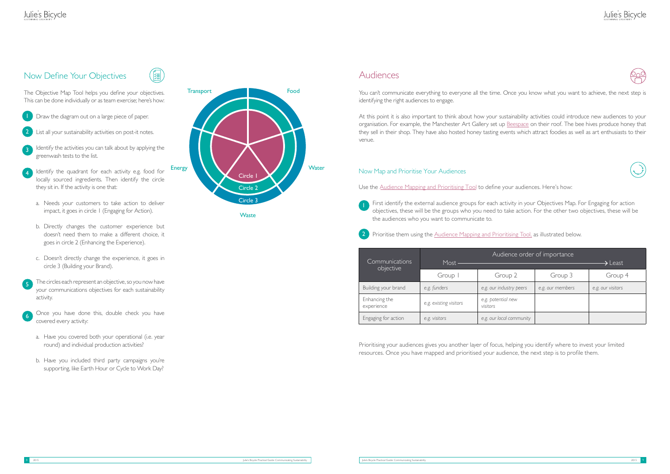#### Audiences

You can't communicate everything to everyone all the time. Once you know what you want to achieve, the next step is identifying the right audiences to engage.

At this point it is also important to think about how your sustainability activities could introduce new audiences to your organisation. For example, the Manchester Art Gallery set u[p B](http://beespace.tumblr.com/)[eespac](beespace.tumblr.com/)[e](http://beespace.tumblr.com/) on their roof. The bee hives produce honey that they sell in their shop. They have also hosted honey tasting events which attract foodies as well as art enthusiasts to their venue.

Prioritising your audiences gives you another layer of focus, resources. Once you have mapped and prioritised your audience, the next step is to profile them.

### Julie's Bicycle

| helping you identify where to invest your limited |
|---------------------------------------------------|
| ience the neyt sten is to profile them            |







#### Now Map and Prioritise Your Audiences

Use the Audience Mapping [and Prioritising Tool](#page-12-0) to define your audiences. Here's how:

### Julie's Bicycle

#### Now Define Your Objectives



The Objective Map Tool helps you define your objectives. This can be done individually or as team exercise; here's how:

- First identify the external audience groups for each activity in your Objectives Map. For Engaging for action objectives, these will be the groups who you need to take action. For the other two objectives, these will be the audiences who you want to communicate to.
- Prioritise them using the [Audience Mapping and Prioritising Tool,](#page-12-0) as illustrated below. 2
- Draw the diagram out on a large piece of paper.
- List all your sustainability activities on post-it notes. 2
- Identify the activities you can talk about by applying the greenwash tests to the list. 3
- Identify the quadrant for each activity e.g. food for locally sourced ingredients. Then identify the circle they sit in. If the activity is one that: 4
	- a. Needs your customers to take action to deliver impact, it goes in circle 1 (Engaging for Action).
	- b. Directly changes the customer experience but doesn't need them to make a different choice, it goes in circle 2 (Enhancing the Experience).
	- c. Doesn't directly change the experience, it goes in circle 3 (Building your Brand).
- The circles each represent an objective, so you now have your communications objectives for each sustainability activity. 5
- Once you have done this, double check you have covered every activity: 6
	- a. Have you covered both your operational (i.e. year round) and individual production activities?
	- b. Have you included third party campaigns you're supporting, like Earth Hour or Cycle to Work Day?

| Communications              | Audience order of importance<br>Most -<br>$\blacktriangleright$ Least |                                |                  |                   |
|-----------------------------|-----------------------------------------------------------------------|--------------------------------|------------------|-------------------|
| objective                   | Group I                                                               | Group 2                        | Group 3          | Group 4           |
| Building your brand         | e.g. funders                                                          | e.g. our industry peers        | e.g. our members | e.g. our visitors |
| Enhancing the<br>experience | e.g. existing visitors                                                | e.g. potential new<br>visitors |                  |                   |
| Engaging for action         | e.g. visitors                                                         | e.g. our local community       |                  |                   |



**Waste**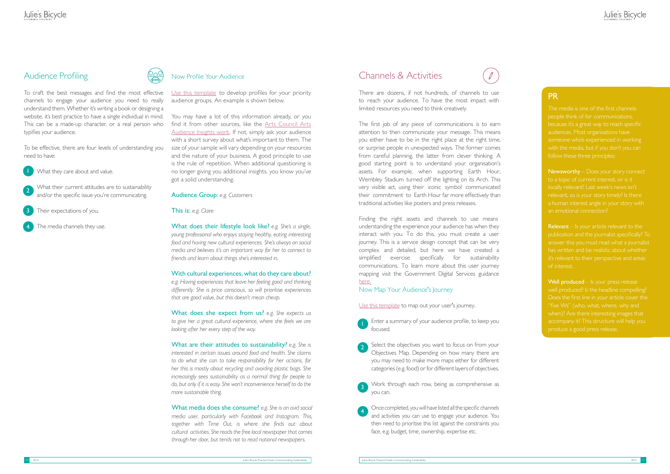#### Audience Profiling



To craft the best messages and find the most effective channels to engage your audience you need to really understand them. Whether it's writing a book or designing a website, it's best practice to have a single individual in mind. This can be a made-up character, or a real person who typifies your audience.

To be effective, there are four levels of understanding you need to have:



[Use this template](#page-13-0) to develop profiles for your priority audience groups. An example is shown below.

You may have a lot of this information already, or you find it from other sources, like the [Arts Council Arts](http://www.artscouncil.org.uk/publication_archive/arts-audiences-insight-2011/)  [Audience Insights work.](http://www.artscouncil.org.uk/publication_archive/arts-audiences-insight-2011/) If not, simply ask your audience with a short survey about what's important to them. The size of your sample will vary depending on your resources and the nature of your business. A good principle to use is the rule of repetition. When additional questioning is no longer giving you additional insights, you know you've got a solid understanding.

#### Audience Group: *e.g. Customers*

#### This is: *e.g. Claire*

What does their lifestyle look like? *e.g. She's a single, young professional who enjoys staying healthy, eating interesting food and having new cultural experiences. She's always on social media and believes it's an important way for her to connect to friends and learn about things she's interested in.*

#### With cultural experiences, what do they care about?

*e.g. Having experiences that leave her feeling good and thinking differently. She is price conscious, so will prioritise experiences that are good value, but this doesn't mean cheap.*

What does she expect from us? *e.g. She expects us to give her a great cultural experience, where she feels we are looking after her every step of the way.*

Finding the right assets and channels to use means understanding the experience your audience has when they interact with you. To do this, you must create a user journey. This is a service design concept that can be very complex and detailed, but here we have created a simplified exercise specifically for sustainability communications. To learn more about this user journey mapping visit the [Gov](https://www.gov.uk/open-policy-making-toolkit-ethnography#journey-mapping)ernment Digital Services guidance [here.](https://www.gov.uk/open-policy-making-toolkit-ethnography#journey-mapping) 

What are their attitudes to sustainability? *e.g. She is interested in certain issues around food and health. She claims to do what she can to take responsibility for her actions, for her this is mostly about recycling and avoiding plastic bags. She increasingly sees sustainability as a normal thing for people to do, but only if it is easy. She won't inconvenience herself to do the more sustainable thing.*

Newsworthy – Does your story connect to a topic of current interest, or is it locally relevant? Last week's news isn't relevant, so is your story timely? Is there an emotional connection?

What media does she consume? *e.g. She is an avid social media user, particularly with Facebook and Instagram. This, together with Time Out, is where she finds out about cultural activities. She reads the free local newspaper that comes through her door, but tends not to read national newspapers.*

**Relevant** – Is your article relevant to the publication and the journalist specifically? To it's relevant to their perspective and areas of interest.

### Channels & Activities

Well produced – Is your press release "five Ws" (who, what, where, why and when)? Are there interesting images that

There are dozens, if not hundreds, of channels to use to reach your audience. To have the most impact with limited resources you need to think creatively.

- What they care about and value.
- What their current attitudes are to sustainability and/or the specific issue you're communicating. 2
- Their expectations of you. 3
- The media channels they use. 4

The first job of any piece of communications is to earn attention to then communicate your message. This means you either have to be in the right place at the right time, or surprise people in unexpected ways. The former comes from careful planning, the latter from clever thinking. A good starting point is to understand your organisation's assets. For example, when supporting Earth Hour, Wembley Stadium turned off the lighting on its Arch. This very visible act, using their iconic symbol communicated their commitment to Earth Hour far more effectively than traditional activities like posters and press releases.

#### Now Map Your Audience's Journey

Use [this template](#page-14-0) to map out your user's journey.

Enter a summary of your audience profile, to keep you focused.

#### PR

The media is one of the first channels people think of for communications, someone who's experienced in working follow these three principles:

Select the objectives you want to focus on from your Objectives Map. Depending on how many there are you may need to make more maps either for different categories (e.g. food) or for different layers of objectives. 2

Work through each row, being as comprehensive as you can. 3

Once completed, you will have listed all the specific channels and activities you can use to engage your audience. You then need to prioritise this list against the constraints you face, e.g. budget, time, ownership, expertise etc. 4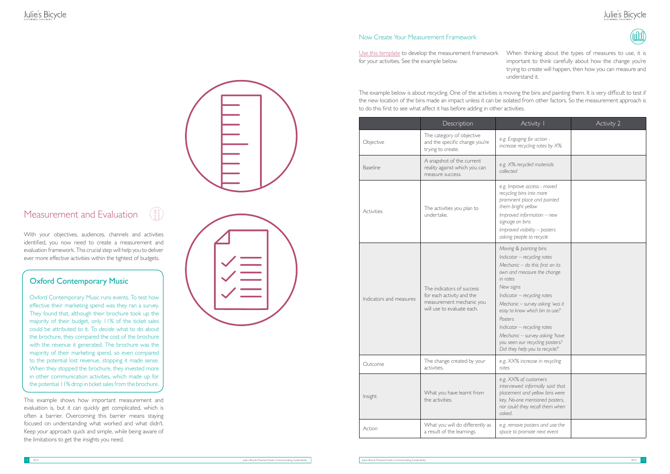### Julie's Bicycle



### Measurement and Evaluation

With your objectives, audiences, channels and activities identified, you now need to create a measurement and evaluation framework. This crucial step will help you to deliver ever more effective activities within the tightest of budgets.

This example shows how important measurement and evaluation is, but it can quickly get complicated, which is often a barrier. Overcoming this barrier means staying focused on understanding what worked and what didn't. Keep your approach quick and simple, while being aware of the limitations to get the insights you need.



#### Now Create Your Measurement Framework

[Use this template](#page-15-0) to develop the measurement framework for your activities. See the example below. When thinking about the types of measures to use, it is important to think carefully about how the change you're trying to create will happen, then how you can measure and understand it.

|                         | Description                                                                                                      | Activity I                                                                                                                                                                                                                                                                                                                                                                                             | Activity 2 |
|-------------------------|------------------------------------------------------------------------------------------------------------------|--------------------------------------------------------------------------------------------------------------------------------------------------------------------------------------------------------------------------------------------------------------------------------------------------------------------------------------------------------------------------------------------------------|------------|
| Objective               | The category of objective<br>and the specific change you're<br>trying to create.                                 | e.g. Engaging for action -<br>increase recycling rates by X%                                                                                                                                                                                                                                                                                                                                           |            |
| <b>Baseline</b>         | A snapshot of the current<br>reality against which you can<br>measure success.                                   | e.g. X% recycled materials<br>collected                                                                                                                                                                                                                                                                                                                                                                |            |
| Activities              | The activities you plan to<br>undertake.                                                                         | e.g. Improve access - moved<br>recycling bins into more<br>prominent place and painted<br>them bright yellow<br>Improved information - new<br>signage on bins<br>Improved visibility - posters<br>asking people to recycle                                                                                                                                                                             |            |
| Indicators and measures | The indicators of success<br>for each activity and the<br>measurement mechanic you<br>will use to evaluate each. | Moving & painting bins<br>Indicator - recycling rates<br>Mechanic - do this first on its<br>own and measure the change<br>in rates<br>New signs<br>Indicator - recycling rates<br>Mechanic - survey asking 'was it<br>easy to know which bin to use?'<br>Posters<br>Indicator - recycling rates<br>Mechanic - survey asking 'have<br>you seen our recycling posters?<br>Did they help you to recycle?' |            |
| Outcome                 | The change created by your<br>activities.                                                                        | e.g. XX% increase in recycling<br>rates                                                                                                                                                                                                                                                                                                                                                                |            |
| Insight                 | What you have learnt from<br>the activities.                                                                     | e.g. XX% of customers<br>interviewed informally said that<br>placement and yellow bins were<br>key. No-one mentioned posters,<br>nor could they recall them when<br>asked.                                                                                                                                                                                                                             |            |
| Action                  | What you will do differently as<br>a result of the learnings.                                                    | e.g. remove posters and use the<br>space to promote next event                                                                                                                                                                                                                                                                                                                                         |            |

The example below is about recycling. One of the activities is moving the bins and painting them. It is very difficult to test if the new location of the bins made an impact unless it can be isolated from other factors. So the measurement approach is to do this first to see what affect it has before adding in other activities.

#### Oxford Contemporary Music

Oxford Contemporary Music runs events. To test how effective their marketing spend was they ran a survey. They found that, although their brochure took up the majority of their budget, only 11% of the ticket sales could be attributed to it. To decide what to do about the brochure, they compared the cost of the brochure with the revenue it generated. The brochure was the majority of their marketing spend, so even compared to the potential lost revenue, stopping it made sense. When they stopped the brochure, they invested more in other communication activities, which made up for the potential 11% drop in ticket sales from the brochure.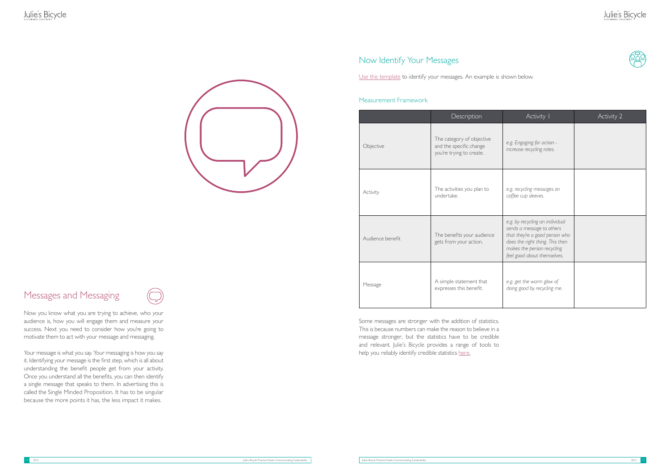Some messages are stronger with the addition of statistics. This is because numbers can make the reason to believe in a message stronger, but the statistics have to be credible and rele[vant. Julie's B](http://www.juliesbicycle.com)icycle provides a range of tools to help you reliably identify credible [stati](http://www.juliesbicycle.com)stics here.



#### Now Identify Your Messages

[Use this template](#page-16-0) to identify your messages. An example is shown below.

#### Measurement Framework

|                  | Description                                                                      | Activity I                                                                                                                                                                                     | Activity 2 |
|------------------|----------------------------------------------------------------------------------|------------------------------------------------------------------------------------------------------------------------------------------------------------------------------------------------|------------|
| Objective        | The category of objective<br>and the specific change<br>you're trying to create. | e.g. Engaging for action -<br>increase recycling rates.                                                                                                                                        |            |
| Activity         | The activities you plan to<br>undertake.                                         | e.g. recycling messages on<br>coffee cup sleeves.                                                                                                                                              |            |
| Audience benefit | The benefits your audience<br>gets from your action.                             | e.g. by recycling an individual<br>sends a message to others<br>that they're a good person who<br>does the right thing. This then<br>makes the person recycling<br>feel good about themselves. |            |
| Message          | A simple statement that<br>expresses this benefit.                               | e.g. get the warm glow of<br>doing good by recycling me.                                                                                                                                       |            |

Now you know what you are trying to achieve, who your audience is, how you will engage them and measure your success. Next you need to consider how you're going to motivate them to act with your message and messaging.

Your message is what you say. Your messaging is how you say it. Identifying your message is the first step, which is all about understanding the benefit people get from your activity. Once you understand all the benefits, you can then identify a single message that speaks to them. In advertising this is called the Single Minded Proposition. It has to be singular because the more points it has, the less impact it makes.

### Julie's Bicycle



### Messages and Messaging

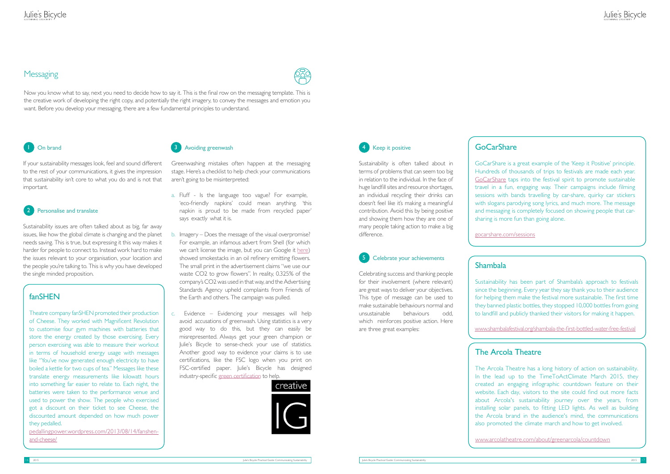#### **Messaging**



### On brand

If your sustainability messages look, feel and sound different to the rest of your communications, it gives the impression that sustainability isn't core to what you do and is not that important.

#### 2 Personalise and translate

Sustainability issues are often talked about as big, far away issues, like how the global climate is changing and the planet needs saving. This is true, but expressing it this way makes it harder for people to connect to. Instead work hard to make the issues relevant to your organisation, your location and the people you're talking to. This is why you have developed the single minded proposition.

Greenwashing mistakes often happen at the messaging stage. Here's a checklist to help check your communications aren't going to be misinterpreted:

- a. Fluff Is the language too vague? For example, 'eco-friendly napkins' could mean anything. 'this napkin is proud to be made from recycled paper' says exactly what it is.
- b. Imagery Does the message of the visual overpromise? For example, an infamous advert from Shell (for which we can't license the image, but you can Google it [here\)](https://www.google.co.uk/search?q=shell+greenwashing+flowers+ad&espv=2&biw=1366&bih=623&source=lnms&tbm=isch&sa=X&ved=0CAYQ_AUoAWoVChMIlNvM8cqSxgIVYaHbCh14KAAJ&dpr=1#imgrc=w-jEJN1v2lUB9M%253A%3Bed8ZvqcX-dI_pM%3Bhttp%253A%252F%252Fwww.creativereview.co.uk%252Fimages%252F2009%252F08%252Fdont_throw_anything_away_0.jpg%3Bhttp%253A%252F%252Fwww.herinst.org%252FBusinessManagedDemocracy%252Fenvironment%252Fwarming%252FShell.) showed smokestacks in an oil refinery emitting flowers. The small print in the advertisement claims "we use our waste CO2 to grow flowers". In reality, 0.325% of the company's CO2 was used in that way, and the Advertising Standards Agency upheld complaints from Friends of the Earth and others. The campaign was pulled.
- c. Evidence Evidencing your messages will help avoid accusations of greenwash. Using statistics is a very good way to do this, but they can easily be misrepresented. Always get your green champion or Julie's Bicycle to sense-check your use of statistics. Another good way to evidence your claims is to use certifications, like the FSC logo when you print on FSC-certified paper. Julie's Bicy[cle has designed](http://www.juliesbicycle.com/services/industry) industry-specific green certification to help.





### **4** Keep it positive

Sustainability is often talked about in terms of problems that can seem too big in relation to the individual. In the face of huge landfill sites and resource shortages, an individual recycling their drinks can doesn't feel like it's making a meaningful contribution. Avoid this by being positive and showing them how they are one of many people taking action to make a big difference.

Celebrating success and thanking people for their involvement (where relevant) are great ways to deliver your objectives. This type of message can be used to make sustainable behaviours normal and unsustainable behaviours odd, which reinforces positive action. Here are three great examples:

### GoCarShare

GoCarShare is a great example of the 'Keep it Positive' principle. Hundreds of thousands of trips to festivals are made each year. [GoCarShare](http://gocarshare.com/sessions) taps into the festival spirit to promote sustainable travel in a fun, engaging way. Their campaigns include filming sessions with bands travelling by car-share, quirky car stickers with slogans parodying song lyrics, and much more. The message and messaging is completely focused on showing people that carsharing is more fun than going alone.

[gocarshare.com/sessions](http://gocarshare.com/sessions)

### Shambala

Sustainability has been part of Shambala's approach to festivals since the beginning. Every year they say thank you to their audience for helping them make the festival more sustainable. The first time they banned plastic bottles, they stopped 10,000 bottles from going to landfill and publicly thanked their visitors for making it happen.

[w](www.shambalafestival.org/shambala-the-first-bottled-water-free-festival)[ww.shambalafestival.org/shambala-the-first-bottled-water-free-festival](http://www.shambalafestival.org/shambala-the-first-bottled-water-free-festival/)

### The Arcola Theatre

#### Celebrate your achievements 5

The Arcola Theatre has a long history of action on sustainability. In the lead up to the TimeToActClimate March 2015, they created an engaging infographic countdown feature on their website. Each day, visitors to the site could find out more facts about Arcola's sustainability journey over the years, from installing solar panels, to fitting LED lights. As well as building the Arcola brand in the audience's mind, the communications also promoted the climate march and how to get involved.

[www.arcolatheatre.com/about/greenarcola/countdown](https://www.arcolatheatre.com/about/greenarcola/countdown)

### Julie's Bicycle

#### fanSHEN

Theatre company fanSHEN promoted their production of Cheese. They worked with Magnificent Revolution to customise four gym machines with batteries that store the energy created by those exercising. Every person exercising was able to measure their workout in terms of household energy usage with messages like "You've now generated enough electricity to have boiled a kettle for two cups of tea." Messages like these translate energy measurements like kilowatt hours into something far easier to relate to. Each night, the batteries were taken to the performance venue and used to power the show. The people who exercised got a discount on their ticket to see Cheese, the discounted amount depended on how much power they pedalled.

[pedallingpower.wordpress.com/2013/08/14/fanshen](https://pedallingpower.wordpress.com/2013/08/14/fanshen-and-cheese/)[and-cheese/](https://pedallingpower.wordpress.com/2013/08/14/fanshen-and-cheese/)

#### **Avoiding greenwash** and the contract of the contract of the contract of the contract of the contract of the contract of the contract of the contract of the contract of the contract of the contract of the contract of the c

Now you know what to say, next you need to decide how to say it. This is the final row on the messaging template. This is the creative work of developing the right copy, and potentially the right imagery, to convey the messages and emotion you want. Before you develop your messaging, there are a few fundamental principles to understand.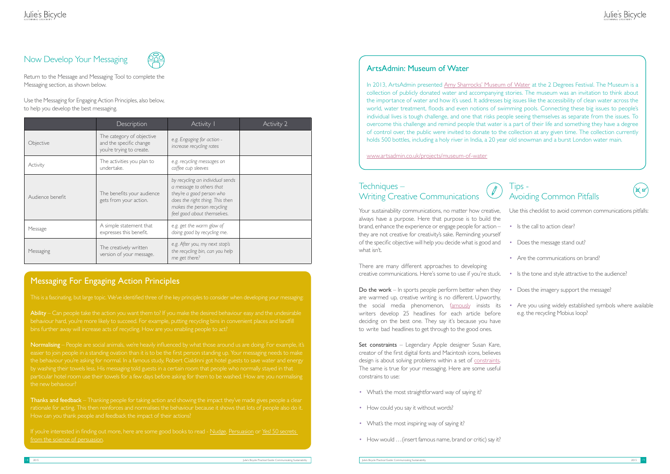### Now Develop Your Messaging



Return to the Message and Messaging Tool to complete the Messaging section, as shown below.

Use the Messaging for Engaging Action Principles, also below, to help you develop the best messaging.

> Your sustainability communications, no matter how creative, always have a purpose. Here that purpose is to build the brand, enhance the experience or engage people for action – they are not creative for creativity's sake. Reminding yourself of the specific objective will help you decide what is good and what isn't.

#### Techniques – Writing Creative Communications

Set constraints - Legendary Apple designer Susan Kare, creator of the first digital fonts and Macintosh icons, believes design is about solving problems within a set of [constraints.](http://www.fastcodesign.com/3038976/what-every-young-designer-should-know-from-legendary-apple-designer-susan-kare) The same is true for your messaging. Here are some useful constrains to use:

There are many different approaches to developing creative communications. Here's some to use if you're stuck.

#### $\big|$  ips -Avoiding Common Pitfalls



- Is the call to action clear?
- Does the message stand out?
- Are the communications on brand?
- Is the tone and style attractive to the audience?
- Does the imagery support the message?
- Are you using widely established symbols where available e.g. the recycling Mobius loop?

Do the work – In sports people perform better when they are warmed up, creative writing is no different. Upworthy, the social media phenomenon, [fam](https://medium.com/key-lessons-from-books/backed-by-science-the-25-headline-upworthy-challenge-272441d0d5e9)ously insists its writers develop 25 headlines for each article before deciding on the best one. They say it's because you have to write bad headlines to get through to the good ones.

In 2013, ArtsAdmin presented [Amy Sharrocks' Museum of Water](https://www.artsadmin.co.uk/projects/museum-of-water) at the 2 Degrees Festival. The Museum is a collection of publicly donated water and accompanying stories. The museum was an invitation to think about the importance of water and how it's used. It addresses big issues like the accessibility of clean water across the world, water treatment, floods and even notions of swimming pools. Connecting these big issues to people's individual lives is tough challenge, and one that risks people seeing themselves as separate from the issues. To overcome this challenge and remind people that water is a part of their life and something they have a degree of control over, the public were invited to donate to the collection at any given time. The collection currently holds 500 bottles, including a holy river in India, a 20 year old snowman and a burst London water main.

- What's the most straightforward way of saying it?
- How could you say it without words?
- What's the most inspiring way of saying it?
- How would …(insert famous name, brand or critic) say it?

Use this checklist to avoid common communications pitfalls:

#### ArtsAdmin: Museum of Water

Thanks and feedback – Thanking people for taking action and showing the impact they've made gives people a clear rationale for acting. This then reinforces and normalises the behaviour because it shows that lots of people also do it. How can you thank people and feedback the impact of their actions?

If you're interested in finding out more, here are some good books to read - [Nudge,](http://www.amazon.co.uk/Nudge-Improving-Decisions-Health-Happiness/dp/0141040017) [Persuasion](http://www.amazon.co.uk/Influence-Psychology-Robert-PhD-Cialdini/dp/006124189X/ref=sr_1_1?ie=UTF8&qid=1428926553&sr=8-1&keywords=robert+b+cialdini) or Yes! 50 secrets [from the science of persuasion.](http://www.amazon.co.uk/Yes-50-Secrets-Science-Persuasion/dp/1846680166/ref=sr_1_3?ie=UTF8&qid=1428926553&sr=8-3&keywords=robert+b+cialdini)

[www.artsadmin.co.uk/projects/museum-of-water](https://www.artsadmin.co.uk/projects/museum-of-water)

|                  | Description                                                                      | Activity I                                                                                                                                                                                | Activity 2 |
|------------------|----------------------------------------------------------------------------------|-------------------------------------------------------------------------------------------------------------------------------------------------------------------------------------------|------------|
| Objective        | The category of objective<br>and the specific change<br>you're trying to create. | e.g. Engaging for action -<br>increase recycling rates                                                                                                                                    |            |
| Activity         | The activities you plan to<br>undertake.                                         | e.g. recycling messages on<br>coffee cup sleeves                                                                                                                                          |            |
| Audience benefit | The benefits your audience<br>gets from your action.                             | by recycling an individual sends<br>a message to others that<br>they're a good person who<br>does the right thing. This then<br>makes the person recycling<br>feel good about themselves. |            |
| Message          | A simple statement that<br>expresses this benefit.                               | e.g. get the warm glow of<br>doing good by recycling me.                                                                                                                                  |            |
| Messaging        | The creatively written<br>version of your message.                               | e.g. After you, my next stop's<br>the recycling bin, can you help<br>me get there?                                                                                                        |            |

### Messaging For Engaging Action Principles

Ability – Can people take the action you want them to? If you make the desired behaviour easy and the undesirable

Normalising – People are social animals, we're heavily influenced by what those around us are doing. For example, it's the behaviour you're asking for normal. In a famous study, Robert Cialdinni got hotel guests to save water and energy the new behaviour?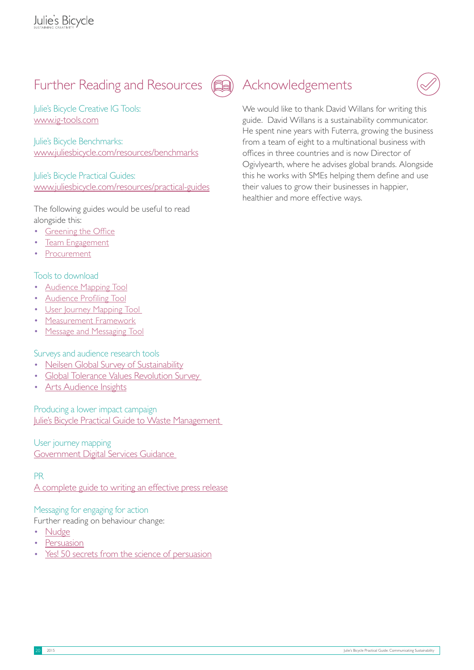### Further Reading and Resources



Julie's Bicycle Creative IG Tools: <www.ig-tools.com>

Julie's Bicycle Benchmarks: <www.juliesbicycle.com/resources/benchmarks>

Julie's Bicycle Practical Guides: <www.juliesbicycle.com/resources/practical-guides>

The following guides would be useful to read alongside this:

- **[Greening the Office](http://www.juliesbicycle.com/resources/greening-the-office-guide)**
- [Team Engagement](http://www.juliesbicycle.com/resources/team-engagement-guide)
- **[Procurement](http://www.juliesbicycle.com/resources/procurement-guide)**

#### Tools to download

- [Audience Mapping Tool](#page-12-0)
- [Audience Profiling Tool](#page-13-0)
- [User Journey Mapping Tool](#page-14-0)
- [Measurement Framework](#page-15-0)
- [Message and Messaging Tool](#page-16-0)

Surveys and audience research tools

- [Neilsen Global Survey of Sustainability](http://www.nielsen.com/us/en/press-room/2014/global-consumers-are-willing-to-put-their-money-where-their-heart-is.html)
- [Global Tolerance Values Revolution Survey](http://www.globaltolerance.com/wp-content/uploads/2015/01/GT-Values-Revolution-Report.pdf)
- [Arts Audience Insights](http://www.artscouncil.org.uk/publication_archive/arts-audiences-insight-2011/)

Producing a lower impact campaign [J](http://www.juliesbicycle.com/resources/practical-guide-waste-management-in-buildings)[ulie's Bicycle Practical Guide to Waste Management](http://www.juliesbicycle.com/resources?type=21§or=&impact=&topic=46) 

User journey mapping [Government Digital Services Guidance](https://www.gov.uk/open-policy-making-toolkit-ethnography#journey-mapping) 

#### PR

[A complete guide to writing an effective press release](http://www.marketingdonut.co.uk/marketing/pr/writing-a-press-release/a-complete-guide-to-writing-an-effective-press-release)

#### Messaging for engaging for action

Further reading on behaviour change:

- [Nudge](http://www.amazon.co.uk/Nudge-Improving-Decisions-Health-Happiness/dp/0141040017)
- **[Persuasion](http://www.amazon.co.uk/Influence-Psychology-Robert-PhD-Cialdini/dp/006124189X/ref=sr_1_1?ie=UTF8&qid=1428926553&sr=8-1&keywords=robert+b+cialdini)**
- [Yes! 50 secrets from the science of persuasion](http://www.amazon.co.uk/Yes-50-Secrets-Science-Persuasion/dp/1846680166/ref=sr_1_3?ie=UTF8&qid=1428926553&sr=8-3&keywords=robert+b+cialdini)

### Acknowledgements

We would like to thank David Willans for writing this guide. David Willans is a sustainability communicator. He spent nine years with Futerra, growing the business from a team of eight to a multinational business with offices in three countries and is now Director of Ogivlyearth, where he advises global brands. Alongside this he works with SMEs helping them define and use their values to grow their businesses in happier, healthier and more effective ways.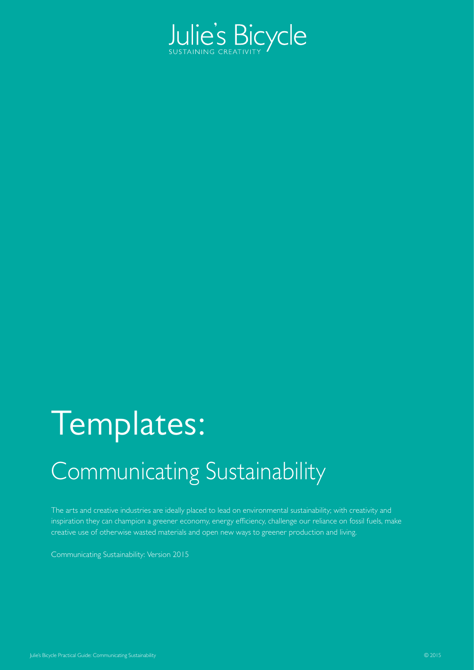

# Templates:

## Communicating Sustainability

The arts and creative industries are ideally placed to lead on environmental sustainability; with creativity and inspiration they can champion a greener economy, energy efficiency, challenge our reliance on fossil fuels, make creative use of otherwise wasted materials and open new ways to greener production and living.

Communicating Sustainability: Version 2015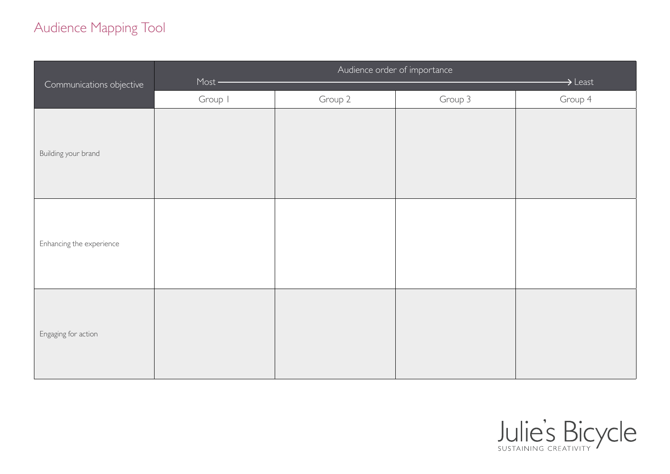### <span id="page-12-0"></span>Audience Mapping Tool

| Communications objective | Audience order of importance<br>$Most$ –<br>$\rightarrow$ Least |         |         |         |
|--------------------------|-----------------------------------------------------------------|---------|---------|---------|
|                          | Group I                                                         | Group 2 | Group 3 | Group 4 |
| Building your brand      |                                                                 |         |         |         |
| Enhancing the experience |                                                                 |         |         |         |
| Engaging for action      |                                                                 |         |         |         |

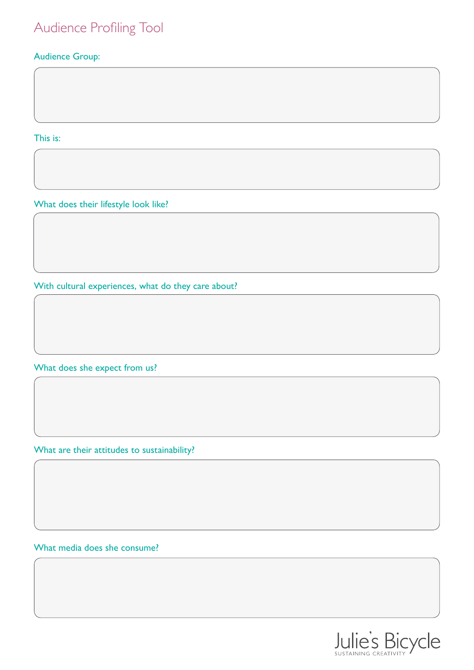### <span id="page-13-0"></span>Audience Profiling Tool

#### Audience Group:

This is:

What does their lifestyle look like?

With cultural experiences, what do they care about?

What does she expect from us?

What are their attitudes to sustainability?

What media does she consume?

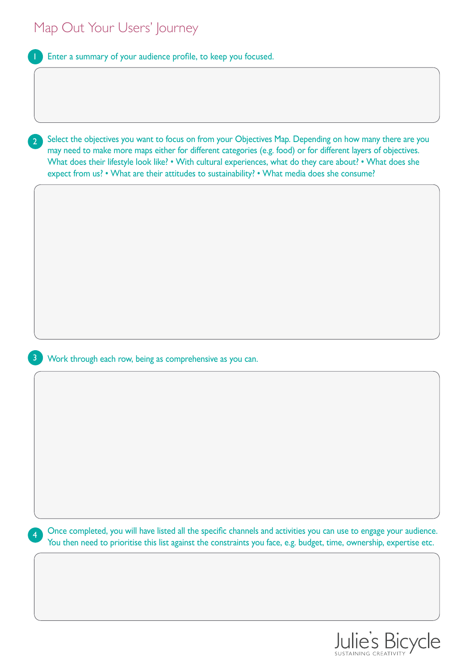<span id="page-14-0"></span>

| Map Out Your Users' Journey                                                                                                                                                                                                                                                                                                                                                                                                                               |
|-----------------------------------------------------------------------------------------------------------------------------------------------------------------------------------------------------------------------------------------------------------------------------------------------------------------------------------------------------------------------------------------------------------------------------------------------------------|
| Enter a summary of your audience profile, to keep you focused.                                                                                                                                                                                                                                                                                                                                                                                            |
|                                                                                                                                                                                                                                                                                                                                                                                                                                                           |
|                                                                                                                                                                                                                                                                                                                                                                                                                                                           |
|                                                                                                                                                                                                                                                                                                                                                                                                                                                           |
| Select the objectives you want to focus on from your Objectives Map. Depending on how many there are you<br>$\overline{2}$<br>may need to make more maps either for different categories (e.g. food) or for different layers of objectives.<br>What does their lifestyle look like? • With cultural experiences, what do they care about? • What does she<br>expect from us? • What are their attitudes to sustainability? • What media does she consume? |
|                                                                                                                                                                                                                                                                                                                                                                                                                                                           |
|                                                                                                                                                                                                                                                                                                                                                                                                                                                           |
|                                                                                                                                                                                                                                                                                                                                                                                                                                                           |
|                                                                                                                                                                                                                                                                                                                                                                                                                                                           |
|                                                                                                                                                                                                                                                                                                                                                                                                                                                           |
|                                                                                                                                                                                                                                                                                                                                                                                                                                                           |
|                                                                                                                                                                                                                                                                                                                                                                                                                                                           |
| Work through each row, being as comprehensive as you can.                                                                                                                                                                                                                                                                                                                                                                                                 |
|                                                                                                                                                                                                                                                                                                                                                                                                                                                           |
|                                                                                                                                                                                                                                                                                                                                                                                                                                                           |
|                                                                                                                                                                                                                                                                                                                                                                                                                                                           |
|                                                                                                                                                                                                                                                                                                                                                                                                                                                           |
|                                                                                                                                                                                                                                                                                                                                                                                                                                                           |
|                                                                                                                                                                                                                                                                                                                                                                                                                                                           |
|                                                                                                                                                                                                                                                                                                                                                                                                                                                           |
| Once completed, you will have listed all the specific channels and activities you can use to engage your audience.<br>You then need to prioritise this list against the constraints you face, e.g. budget, time, ownership, expertise etc.                                                                                                                                                                                                                |
|                                                                                                                                                                                                                                                                                                                                                                                                                                                           |
|                                                                                                                                                                                                                                                                                                                                                                                                                                                           |
|                                                                                                                                                                                                                                                                                                                                                                                                                                                           |
|                                                                                                                                                                                                                                                                                                                                                                                                                                                           |

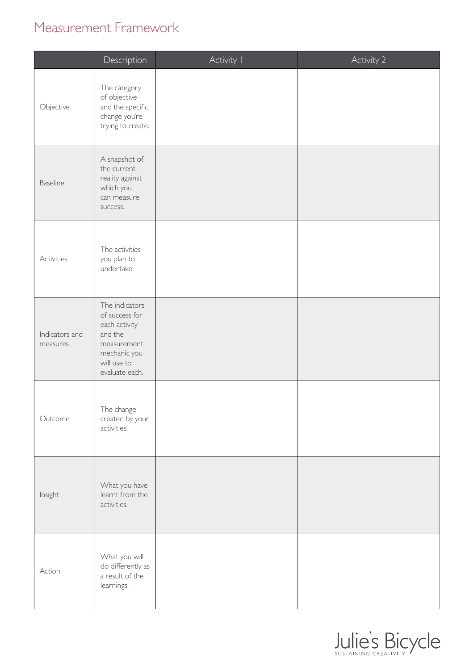### <span id="page-15-0"></span>Measurement Framework

|                            | Description                                                                                                                  | Activity I | Activity 2 |
|----------------------------|------------------------------------------------------------------------------------------------------------------------------|------------|------------|
| Objective                  | The category<br>of objective<br>and the specific<br>change you're<br>trying to create.                                       |            |            |
| <b>Baseline</b>            | A snapshot of<br>the current<br>reality against<br>which you<br>can measure<br>success.                                      |            |            |
| Activities                 | The activities<br>you plan to<br>undertake.                                                                                  |            |            |
| Indicators and<br>measures | The indicators<br>of success for<br>each activity<br>and the<br>measurement<br>mechanic you<br>will use to<br>evaluate each. |            |            |
| Outcome                    | The change<br>created by your<br>activities.                                                                                 |            |            |
| Insight                    | What you have<br>learnt from the<br>activities.                                                                              |            |            |
| Action                     | What you will<br>do differently as<br>a result of the<br>learnings.                                                          |            |            |

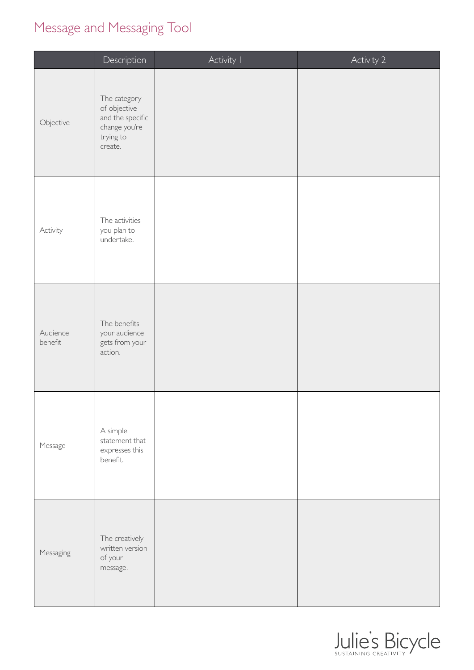### <span id="page-16-0"></span>Message and Messaging Tool

|                     | Description                                                                               | Activity I | Activity <sub>2</sub> |
|---------------------|-------------------------------------------------------------------------------------------|------------|-----------------------|
| Objective           | The category<br>of objective<br>and the specific<br>change you're<br>trying to<br>create. |            |                       |
| Activity            | The activities<br>you plan to<br>undertake.                                               |            |                       |
| Audience<br>benefit | The benefits<br>your audience<br>gets from your<br>action.                                |            |                       |
| Message             | A simple<br>statement that<br>expresses this<br>benefit.                                  |            |                       |
| Messaging           | The creatively<br>written version<br>of your<br>message.                                  |            |                       |